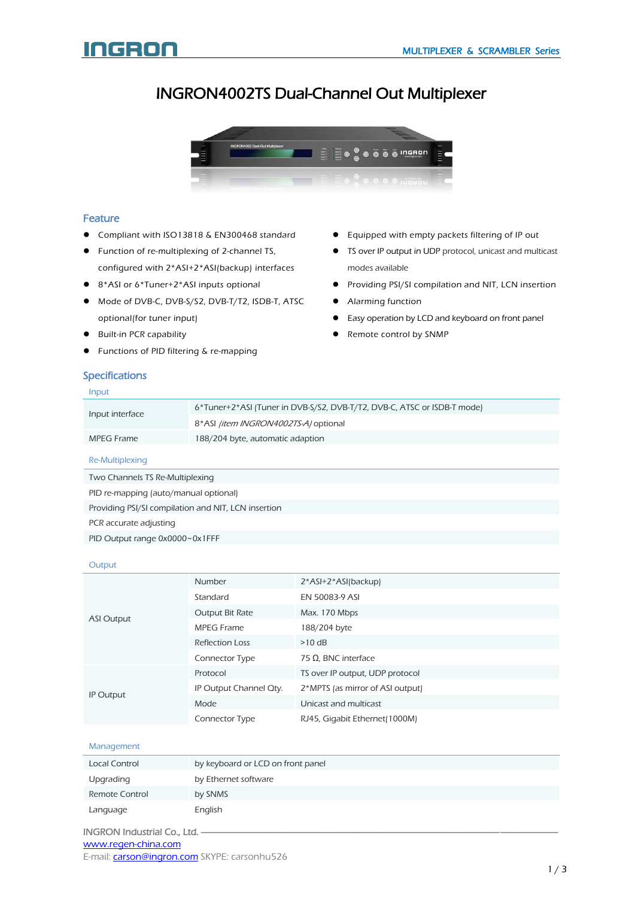Equipped with empty packets filtering of IP out **•** TS over IP output in UDP protocol, unicast and multicast

**•** Providing PSI/SI compilation and NIT, LCN insertion

Easy operation by LCD and keyboard on front panel

# G n

# INGRON4002TS Dual-Channel Out Multiplexer



# Feature

- Compliant with ISO13818 & EN300468 standard
- **•** Function of re-multiplexing of 2-channel TS, configured with 2\*ASI+2\*ASI(backup) interfaces
- 8\*ASI or 6\*Tuner+2\*ASI inputs optional
- Mode of DVB-C, DVB-S/S2, DVB-T/T2, ISDB-T, ATSC optional(for tuner input)
- Built-in PCR capability
- Functions of PID filtering & re-mapping

# Specifications

# Input

• Remote control by SNMP

modes available

• Alarming function

| Input interface | 6*Tuner+2*ASI (Tuner in DVB-S/S2, DVB-T/T2, DVB-C, ATSC or ISDB-T mode) |
|-----------------|-------------------------------------------------------------------------|
|                 | 8*ASI <i>(item INGRON4002TS-A)</i> optional                             |
| MPEG Frame      | 188/204 byte, automatic adaption                                        |
|                 |                                                                         |

Re-Multiplexing

Two Channels TS Re-Multiplexing

PID re-mapping (auto/manual optional)

Providing PSI/SI compilation and NIT, LCN insertion

PCR accurate adjusting

PID Output range 0x0000~0x1FFF

#### **Output**

| <b>ASI Output</b> | <b>Number</b>          | 2*ASI+2*ASI(backup)              |
|-------------------|------------------------|----------------------------------|
|                   | Standard               | EN 50083-9 ASI                   |
|                   | Output Bit Rate        | Max. 170 Mbps                    |
|                   | MPEG Frame             | 188/204 byte                     |
|                   | <b>Reflection Loss</b> | $>10$ dB                         |
|                   | Connector Type         | 75 Ω, BNC interface              |
| IP Output         | Protocol               | TS over IP output, UDP protocol  |
|                   | IP Output Channel Oty. | 2*MPTS (as mirror of ASI output) |
|                   | Mode                   | Unicast and multicast            |
|                   | Connector Type         | RJ45, Gigabit Ethernet(1000M)    |

#### Management

| Local Control  | by keyboard or LCD on front panel |
|----------------|-----------------------------------|
| Upgrading      | by Ethernet software              |
| Remote Control | by SNMS                           |
| Language       | English                           |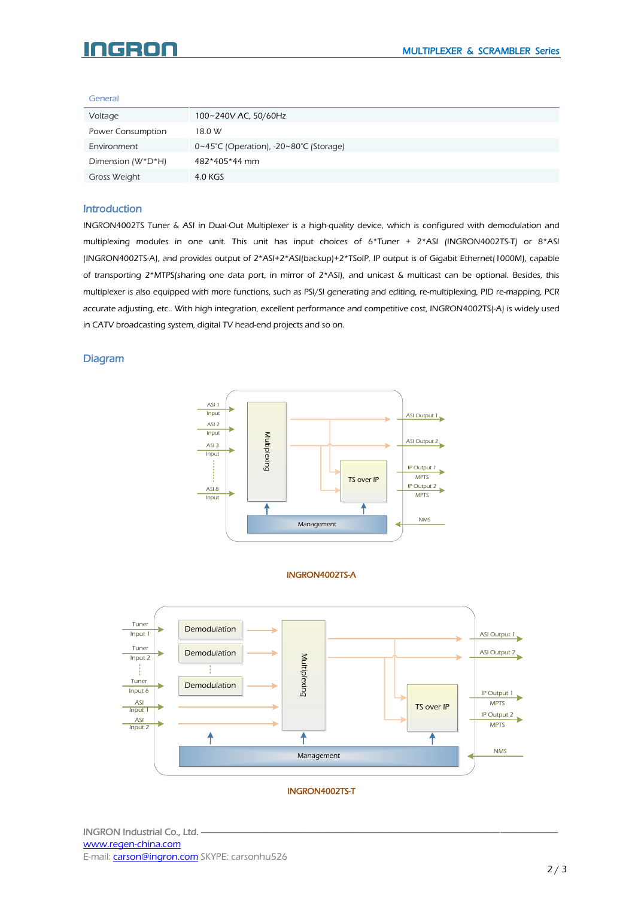#### c BO

#### General

| Voltage           | 100~240V AC, 50/60Hz                                        |
|-------------------|-------------------------------------------------------------|
| Power Consumption | 18.0 W                                                      |
| Environment       | $0~45^{\circ}$ C (Operation), -20~80 $^{\circ}$ C (Storage) |
| Dimension (W*D*H) | 482*405*44 mm                                               |
| Gross Weight      | 4.0 KGS                                                     |

#### Introduction

INGRON4002TS Tuner & ASI in Dual-Out Multiplexer is a high-quality device, which is configured with demodulation and multiplexing modules in one unit. This unit has input choices of 6\*Tuner + 2\*ASI (INGRON4002TS-T) or 8\*ASI (INGRON4002TS-A), and provides output of 2\*ASI+2\*ASI(backup)+2\*TSoIP. IP output is of Gigabit Ethernet(1000M), capable of transporting 2\*MTPS(sharing one data port, in mirror of 2\*ASI), and unicast & multicast can be optional. Besides, this multiplexer is also equipped with more functions, such as PSI/SI generating and editing, re-multiplexing, PID re-mapping, PCR accurate adjusting, etc.. With high integration, excellent performance and competitive cost, INGRON4002TS(-A) is widely used in CATV broadcasting system, digital TV head-end projects and so on.

# Diagram



#### INGRON4002TS-A



# INGRON4002TS-T